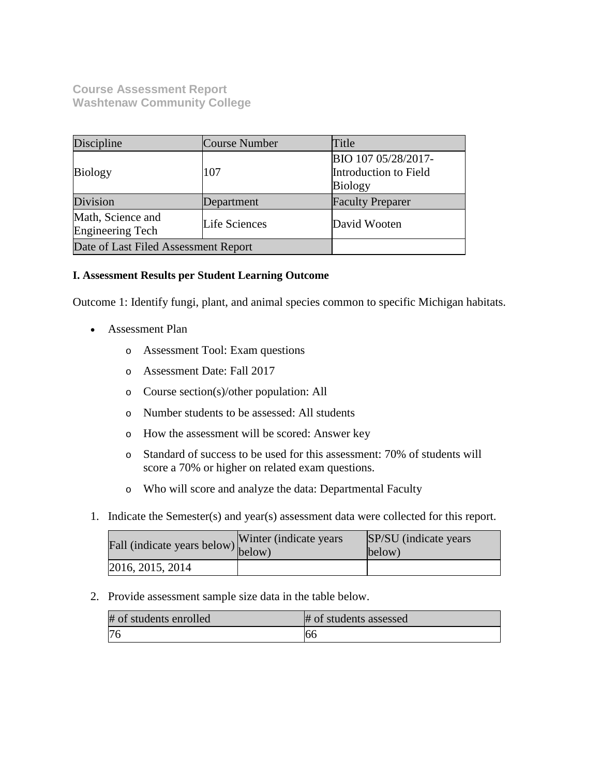**Course Assessment Report Washtenaw Community College**

| Discipline                                   | Course Number | Title                                                          |
|----------------------------------------------|---------------|----------------------------------------------------------------|
| <b>Biology</b>                               | 107           | BIO 107 05/28/2017-<br>Introduction to Field<br><b>Biology</b> |
| Division                                     | Department    | <b>Faculty Preparer</b>                                        |
| Math, Science and<br><b>Engineering Tech</b> | Life Sciences | David Wooten                                                   |
| Date of Last Filed Assessment Report         |               |                                                                |

## **I. Assessment Results per Student Learning Outcome**

Outcome 1: Identify fungi, plant, and animal species common to specific Michigan habitats.

- Assessment Plan
	- o Assessment Tool: Exam questions
	- o Assessment Date: Fall 2017
	- o Course section(s)/other population: All
	- o Number students to be assessed: All students
	- o How the assessment will be scored: Answer key
	- o Standard of success to be used for this assessment: 70% of students will score a 70% or higher on related exam questions.
	- o Who will score and analyze the data: Departmental Faculty
- 1. Indicate the Semester(s) and year(s) assessment data were collected for this report.

| Fall (indicate years below) below) | Winter (indicate years) | SP/SU (indicate years)<br>below) |
|------------------------------------|-------------------------|----------------------------------|
| 2016, 2015, 2014                   |                         |                                  |

2. Provide assessment sample size data in the table below.

| # of students enrolled | # of students assessed |
|------------------------|------------------------|
|                        | 166                    |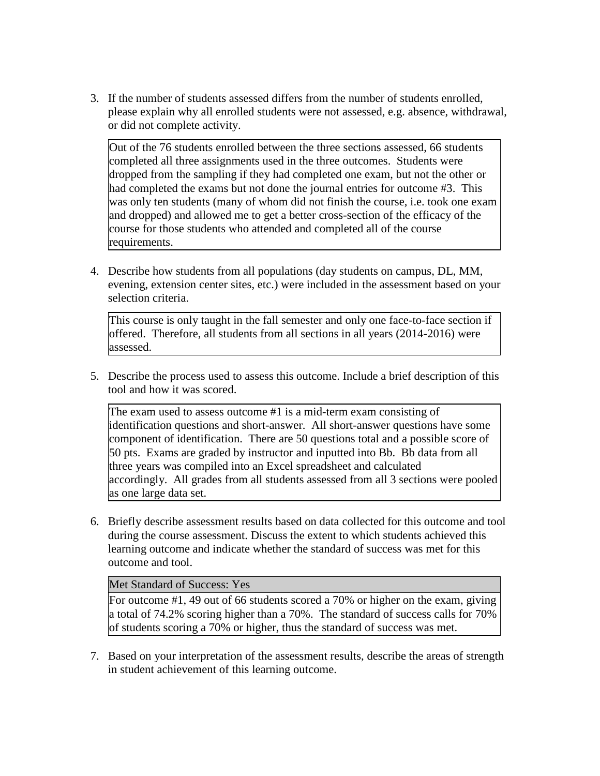3. If the number of students assessed differs from the number of students enrolled, please explain why all enrolled students were not assessed, e.g. absence, withdrawal, or did not complete activity.

Out of the 76 students enrolled between the three sections assessed, 66 students completed all three assignments used in the three outcomes. Students were dropped from the sampling if they had completed one exam, but not the other or had completed the exams but not done the journal entries for outcome #3. This was only ten students (many of whom did not finish the course, i.e. took one exam and dropped) and allowed me to get a better cross-section of the efficacy of the course for those students who attended and completed all of the course requirements.

4. Describe how students from all populations (day students on campus, DL, MM, evening, extension center sites, etc.) were included in the assessment based on your selection criteria.

This course is only taught in the fall semester and only one face-to-face section if offered. Therefore, all students from all sections in all years (2014-2016) were assessed.

5. Describe the process used to assess this outcome. Include a brief description of this tool and how it was scored.

The exam used to assess outcome #1 is a mid-term exam consisting of identification questions and short-answer. All short-answer questions have some component of identification. There are 50 questions total and a possible score of 50 pts. Exams are graded by instructor and inputted into Bb. Bb data from all three years was compiled into an Excel spreadsheet and calculated accordingly. All grades from all students assessed from all 3 sections were pooled as one large data set.

6. Briefly describe assessment results based on data collected for this outcome and tool during the course assessment. Discuss the extent to which students achieved this learning outcome and indicate whether the standard of success was met for this outcome and tool.

## Met Standard of Success: Yes

For outcome #1, 49 out of 66 students scored a 70% or higher on the exam, giving a total of 74.2% scoring higher than a 70%. The standard of success calls for 70% of students scoring a 70% or higher, thus the standard of success was met.

7. Based on your interpretation of the assessment results, describe the areas of strength in student achievement of this learning outcome.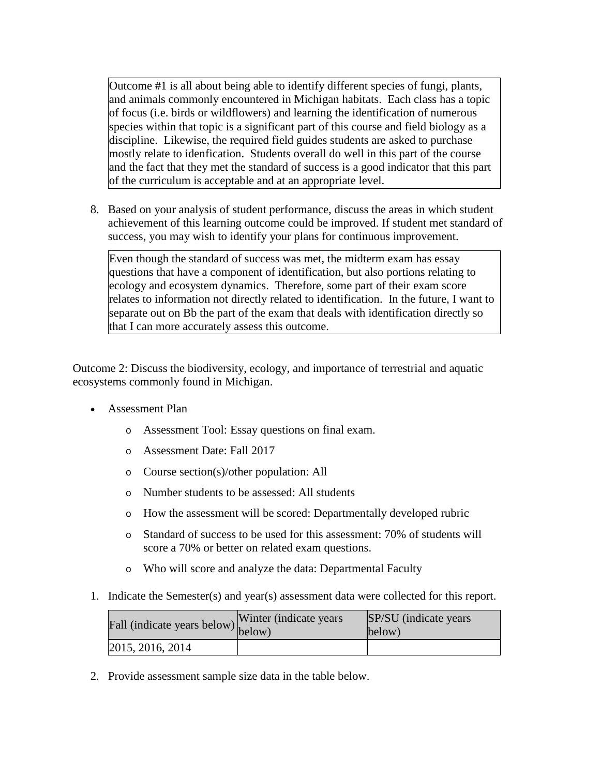Outcome #1 is all about being able to identify different species of fungi, plants, and animals commonly encountered in Michigan habitats. Each class has a topic of focus (i.e. birds or wildflowers) and learning the identification of numerous species within that topic is a significant part of this course and field biology as a discipline. Likewise, the required field guides students are asked to purchase mostly relate to idenfication. Students overall do well in this part of the course and the fact that they met the standard of success is a good indicator that this part of the curriculum is acceptable and at an appropriate level.

8. Based on your analysis of student performance, discuss the areas in which student achievement of this learning outcome could be improved. If student met standard of success, you may wish to identify your plans for continuous improvement.

Even though the standard of success was met, the midterm exam has essay questions that have a component of identification, but also portions relating to ecology and ecosystem dynamics. Therefore, some part of their exam score relates to information not directly related to identification. In the future, I want to separate out on Bb the part of the exam that deals with identification directly so that I can more accurately assess this outcome.

Outcome 2: Discuss the biodiversity, ecology, and importance of terrestrial and aquatic ecosystems commonly found in Michigan.

- Assessment Plan
	- o Assessment Tool: Essay questions on final exam.
	- o Assessment Date: Fall 2017
	- o Course section(s)/other population: All
	- o Number students to be assessed: All students
	- o How the assessment will be scored: Departmentally developed rubric
	- o Standard of success to be used for this assessment: 70% of students will score a 70% or better on related exam questions.
	- o Who will score and analyze the data: Departmental Faculty
- 1. Indicate the Semester(s) and year(s) assessment data were collected for this report.

| Fall (indicate years below) below) | Winter (indicate years) | SP/SU (indicate years)<br>below) |
|------------------------------------|-------------------------|----------------------------------|
| [2015, 2016, 2014]                 |                         |                                  |

2. Provide assessment sample size data in the table below.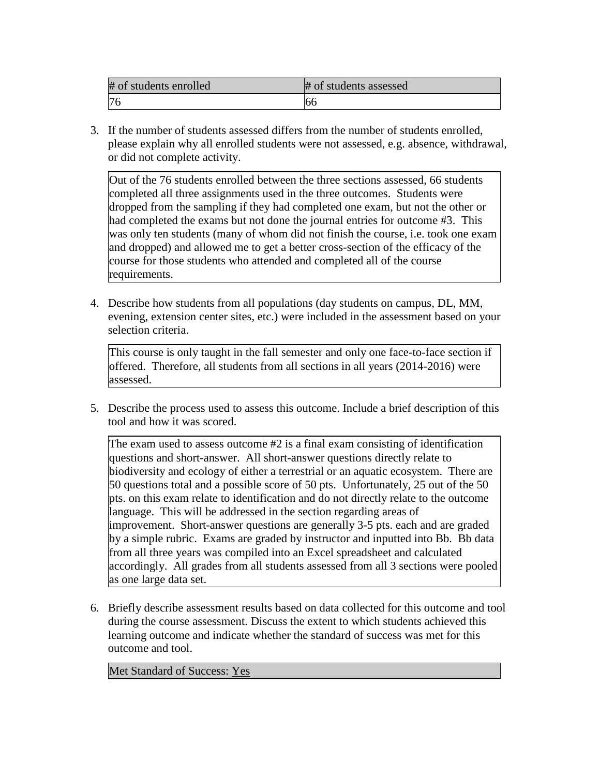| # of students enrolled | # of students assessed |
|------------------------|------------------------|
|                        | ЮĆ                     |

3. If the number of students assessed differs from the number of students enrolled, please explain why all enrolled students were not assessed, e.g. absence, withdrawal, or did not complete activity.

Out of the 76 students enrolled between the three sections assessed, 66 students completed all three assignments used in the three outcomes. Students were dropped from the sampling if they had completed one exam, but not the other or had completed the exams but not done the journal entries for outcome #3. This was only ten students (many of whom did not finish the course, i.e. took one exam and dropped) and allowed me to get a better cross-section of the efficacy of the course for those students who attended and completed all of the course requirements.

4. Describe how students from all populations (day students on campus, DL, MM, evening, extension center sites, etc.) were included in the assessment based on your selection criteria.

This course is only taught in the fall semester and only one face-to-face section if offered. Therefore, all students from all sections in all years (2014-2016) were assessed.

5. Describe the process used to assess this outcome. Include a brief description of this tool and how it was scored.

The exam used to assess outcome #2 is a final exam consisting of identification questions and short-answer. All short-answer questions directly relate to biodiversity and ecology of either a terrestrial or an aquatic ecosystem. There are 50 questions total and a possible score of 50 pts. Unfortunately, 25 out of the 50 pts. on this exam relate to identification and do not directly relate to the outcome language. This will be addressed in the section regarding areas of improvement. Short-answer questions are generally 3-5 pts. each and are graded by a simple rubric. Exams are graded by instructor and inputted into Bb. Bb data from all three years was compiled into an Excel spreadsheet and calculated accordingly. All grades from all students assessed from all 3 sections were pooled as one large data set.

6. Briefly describe assessment results based on data collected for this outcome and tool during the course assessment. Discuss the extent to which students achieved this learning outcome and indicate whether the standard of success was met for this outcome and tool.

Met Standard of Success: Yes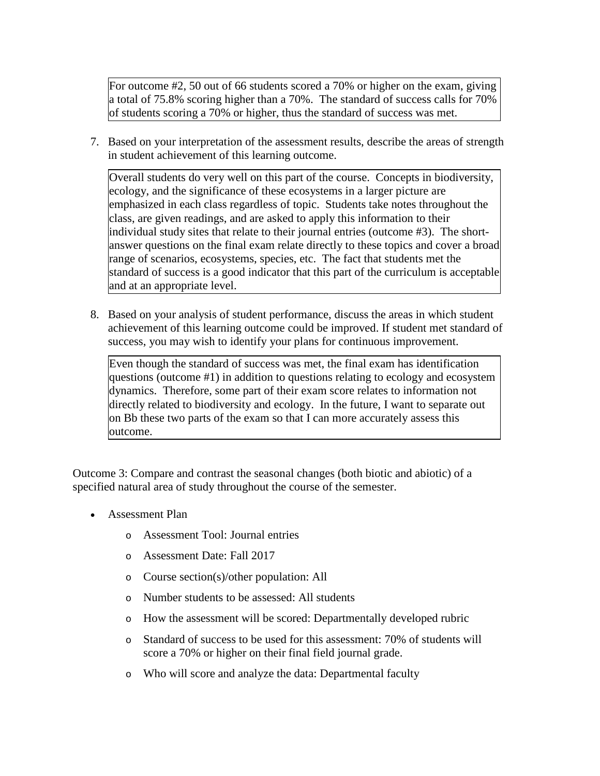For outcome #2, 50 out of 66 students scored a 70% or higher on the exam, giving a total of 75.8% scoring higher than a 70%. The standard of success calls for 70% of students scoring a 70% or higher, thus the standard of success was met.

7. Based on your interpretation of the assessment results, describe the areas of strength in student achievement of this learning outcome.

Overall students do very well on this part of the course. Concepts in biodiversity, ecology, and the significance of these ecosystems in a larger picture are emphasized in each class regardless of topic. Students take notes throughout the class, are given readings, and are asked to apply this information to their individual study sites that relate to their journal entries (outcome #3). The shortanswer questions on the final exam relate directly to these topics and cover a broad range of scenarios, ecosystems, species, etc. The fact that students met the standard of success is a good indicator that this part of the curriculum is acceptable and at an appropriate level.

8. Based on your analysis of student performance, discuss the areas in which student achievement of this learning outcome could be improved. If student met standard of success, you may wish to identify your plans for continuous improvement.

Even though the standard of success was met, the final exam has identification questions (outcome #1) in addition to questions relating to ecology and ecosystem dynamics. Therefore, some part of their exam score relates to information not directly related to biodiversity and ecology. In the future, I want to separate out on Bb these two parts of the exam so that I can more accurately assess this outcome.

Outcome 3: Compare and contrast the seasonal changes (both biotic and abiotic) of a specified natural area of study throughout the course of the semester.

- Assessment Plan
	- o Assessment Tool: Journal entries
	- o Assessment Date: Fall 2017
	- o Course section(s)/other population: All
	- o Number students to be assessed: All students
	- o How the assessment will be scored: Departmentally developed rubric
	- o Standard of success to be used for this assessment: 70% of students will score a 70% or higher on their final field journal grade.
	- o Who will score and analyze the data: Departmental faculty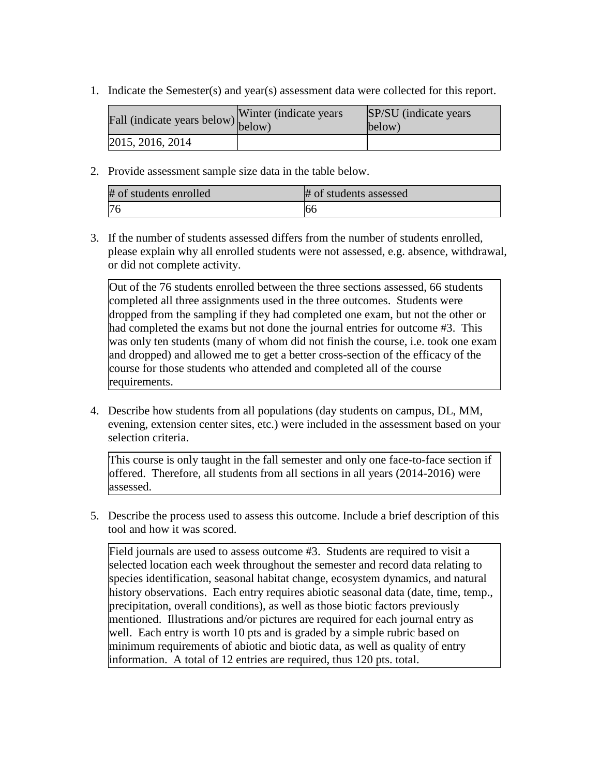1. Indicate the Semester(s) and year(s) assessment data were collected for this report.

| rall (indicate years below) below) | Winter (indicate years) | SP/SU (indicate years)<br>below) |
|------------------------------------|-------------------------|----------------------------------|
| 2015, 2016, 2014                   |                         |                                  |

2. Provide assessment sample size data in the table below.

| # of students enrolled | # of students assessed |
|------------------------|------------------------|
| 76                     |                        |

3. If the number of students assessed differs from the number of students enrolled, please explain why all enrolled students were not assessed, e.g. absence, withdrawal, or did not complete activity.

Out of the 76 students enrolled between the three sections assessed, 66 students completed all three assignments used in the three outcomes. Students were dropped from the sampling if they had completed one exam, but not the other or had completed the exams but not done the journal entries for outcome #3. This was only ten students (many of whom did not finish the course, i.e. took one exam and dropped) and allowed me to get a better cross-section of the efficacy of the course for those students who attended and completed all of the course requirements.

4. Describe how students from all populations (day students on campus, DL, MM, evening, extension center sites, etc.) were included in the assessment based on your selection criteria.

This course is only taught in the fall semester and only one face-to-face section if offered. Therefore, all students from all sections in all years (2014-2016) were assessed.

5. Describe the process used to assess this outcome. Include a brief description of this tool and how it was scored.

Field journals are used to assess outcome #3. Students are required to visit a selected location each week throughout the semester and record data relating to species identification, seasonal habitat change, ecosystem dynamics, and natural history observations. Each entry requires abiotic seasonal data (date, time, temp., precipitation, overall conditions), as well as those biotic factors previously mentioned. Illustrations and/or pictures are required for each journal entry as well. Each entry is worth 10 pts and is graded by a simple rubric based on minimum requirements of abiotic and biotic data, as well as quality of entry information. A total of 12 entries are required, thus 120 pts. total.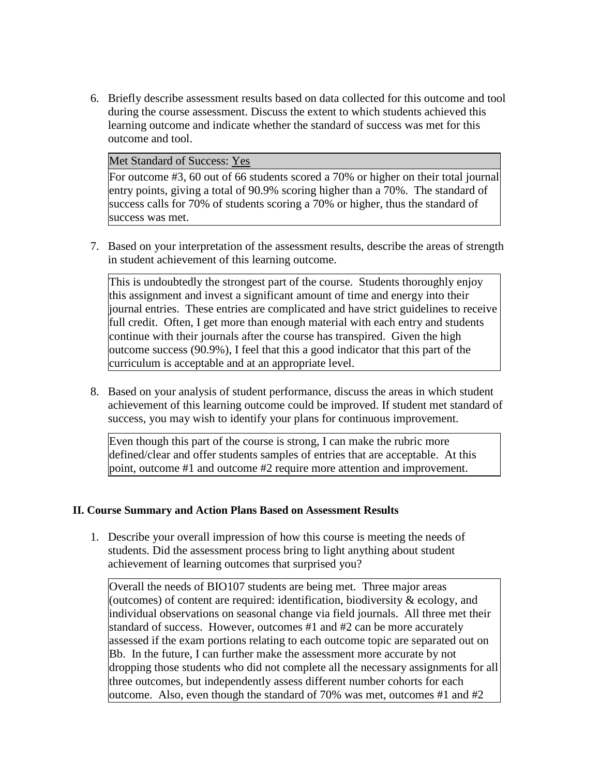6. Briefly describe assessment results based on data collected for this outcome and tool during the course assessment. Discuss the extent to which students achieved this learning outcome and indicate whether the standard of success was met for this outcome and tool.

Met Standard of Success: Yes

For outcome #3, 60 out of 66 students scored a 70% or higher on their total journal entry points, giving a total of 90.9% scoring higher than a 70%. The standard of success calls for 70% of students scoring a 70% or higher, thus the standard of success was met.

7. Based on your interpretation of the assessment results, describe the areas of strength in student achievement of this learning outcome.

This is undoubtedly the strongest part of the course. Students thoroughly enjoy this assignment and invest a significant amount of time and energy into their journal entries. These entries are complicated and have strict guidelines to receive full credit. Often, I get more than enough material with each entry and students continue with their journals after the course has transpired. Given the high outcome success (90.9%), I feel that this a good indicator that this part of the curriculum is acceptable and at an appropriate level.

8. Based on your analysis of student performance, discuss the areas in which student achievement of this learning outcome could be improved. If student met standard of success, you may wish to identify your plans for continuous improvement.

Even though this part of the course is strong, I can make the rubric more defined/clear and offer students samples of entries that are acceptable. At this point, outcome #1 and outcome #2 require more attention and improvement.

## **II. Course Summary and Action Plans Based on Assessment Results**

1. Describe your overall impression of how this course is meeting the needs of students. Did the assessment process bring to light anything about student achievement of learning outcomes that surprised you?

Overall the needs of BIO107 students are being met. Three major areas (outcomes) of content are required: identification, biodiversity  $\&$  ecology, and individual observations on seasonal change via field journals. All three met their standard of success. However, outcomes #1 and #2 can be more accurately assessed if the exam portions relating to each outcome topic are separated out on Bb. In the future, I can further make the assessment more accurate by not dropping those students who did not complete all the necessary assignments for all three outcomes, but independently assess different number cohorts for each outcome. Also, even though the standard of 70% was met, outcomes #1 and #2